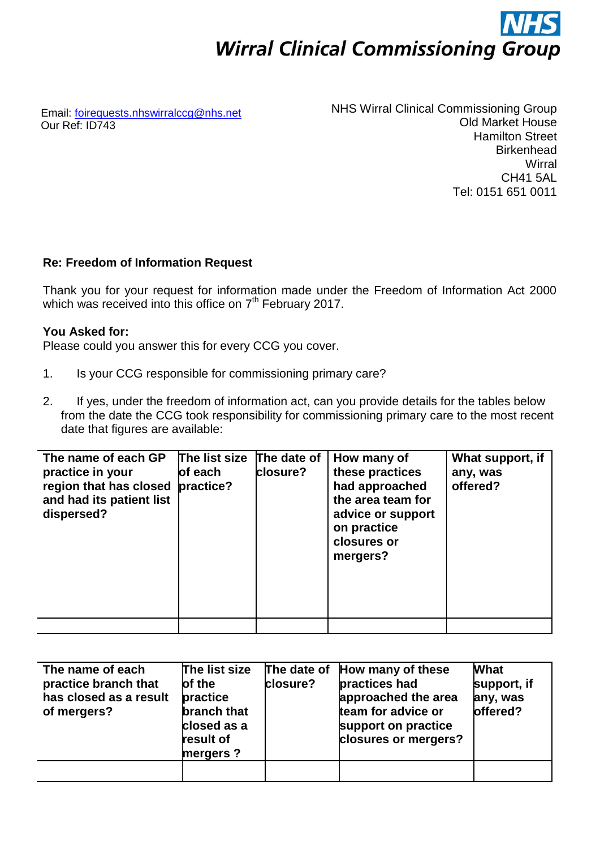# **Wirral Clinical Commissioning Group**

Email: [foirequests.nhswirralccg@nhs.net](mailto:foirequests.nhswirralccg@nhs.net) Our Ref: ID743

NHS Wirral Clinical Commissioning Group Old Market House Hamilton Street **Birkenhead Wirral** CH41 5AL Tel: 0151 651 0011

## **Re: Freedom of Information Request**

Thank you for your request for information made under the Freedom of Information Act 2000 which was received into this office on 7<sup>th</sup> February 2017.

## **You Asked for:**

Please could you answer this for every CCG you cover.

- 1. Is your CCG responsible for commissioning primary care?
- 2. If yes, under the freedom of information act, can you provide details for the tables below from the date the CCG took responsibility for commissioning primary care to the most recent date that figures are available:

| The name of each GP<br>practice in your<br>region that has closed<br>and had its patient list<br>dispersed? | The list size The date of<br>of each<br>practice? | closure? | How many of<br>these practices<br>had approached<br>the area team for<br>advice or support<br>on practice<br>closures or<br>mergers? | What support, if<br>any, was<br>offered? |
|-------------------------------------------------------------------------------------------------------------|---------------------------------------------------|----------|--------------------------------------------------------------------------------------------------------------------------------------|------------------------------------------|
|                                                                                                             |                                                   |          |                                                                                                                                      |                                          |

| The name of each<br>practice branch that<br>has closed as a result<br>of mergers? | The list size<br>of the<br>practice<br>branch that<br>closed as a<br>result of<br>mergers? | closure? | The date of How many of these<br>practices had<br>approached the area<br>team for advice or<br>support on practice<br>closures or mergers? | <b>What</b><br>support, if<br>any, was<br>offered? |
|-----------------------------------------------------------------------------------|--------------------------------------------------------------------------------------------|----------|--------------------------------------------------------------------------------------------------------------------------------------------|----------------------------------------------------|
|                                                                                   |                                                                                            |          |                                                                                                                                            |                                                    |